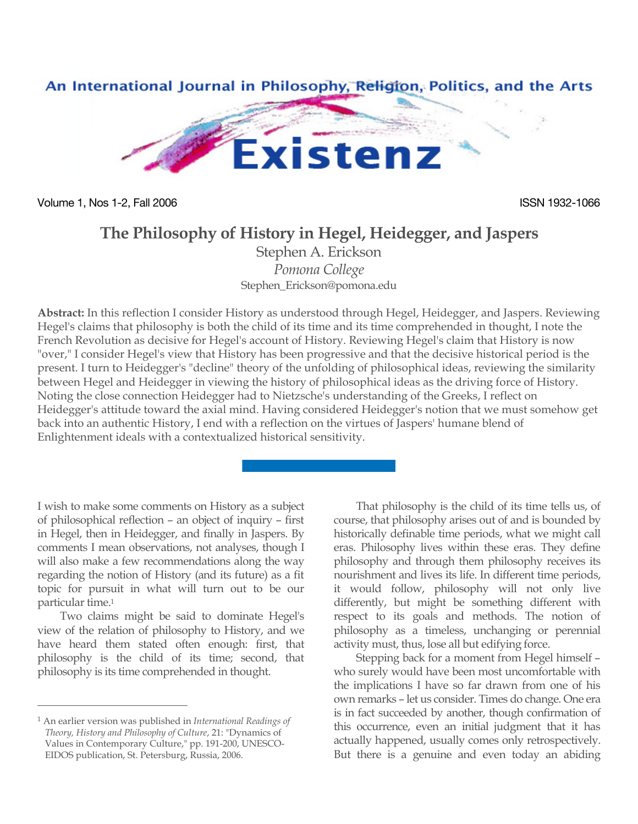

Volume 1, Nos 1-2, Fall 2006 **ISSN 1932-1066** ISSN 1932-1066

## **The Philosophy of History in Hegel, Heidegger, and Jaspers**

Stephen A. Erickson *Pomona College* Stephen\_Erickson@pomona.edu

**Abstract:** In this reflection I consider History as understood through Hegel, Heidegger, and Jaspers. Reviewing Hegel's claims that philosophy is both the child of its time and its time comprehended in thought, I note the French Revolution as decisive for Hegel's account of History. Reviewing Hegel's claim that History is now "over," I consider Hegel's view that History has been progressive and that the decisive historical period is the present. I turn to Heidegger's "decline" theory of the unfolding of philosophical ideas, reviewing the similarity between Hegel and Heidegger in viewing the history of philosophical ideas as the driving force of History. Noting the close connection Heidegger had to Nietzsche's understanding of the Greeks, I reflect on Heidegger's attitude toward the axial mind. Having considered Heidegger's notion that we must somehow get back into an authentic History, I end with a reflection on the virtues of Jaspers' humane blend of Enlightenment ideals with a contextualized historical sensitivity.

I wish to make some comments on History as a subject of philosophical reflection – an object of inquiry – first in Hegel, then in Heidegger, and finally in Jaspers. By comments I mean observations, not analyses, though I will also make a few recommendations along the way regarding the notion of History (and its future) as a fit topic for pursuit in what will turn out to be our particular time.1

Two claims might be said to dominate Hegel's view of the relation of philosophy to History, and we have heard them stated often enough: first, that philosophy is the child of its time; second, that philosophy is its time comprehended in thought.

 $\overline{a}$ 

That philosophy is the child of its time tells us, of course, that philosophy arises out of and is bounded by historically definable time periods, what we might call eras. Philosophy lives within these eras. They define philosophy and through them philosophy receives its nourishment and lives its life. In different time periods, it would follow, philosophy will not only live differently, but might be something different with respect to its goals and methods. The notion of philosophy as a timeless, unchanging or perennial activity must, thus, lose all but edifying force.

Stepping back for a moment from Hegel himself – who surely would have been most uncomfortable with the implications I have so far drawn from one of his own remarks – let us consider. Times do change. One era is in fact succeeded by another, though confirmation of this occurrence, even an initial judgment that it has actually happened, usually comes only retrospectively. But there is a genuine and even today an abiding

<sup>1</sup> An earlier version was published in *International Readings of Theory, History and Philosophy of Culture*, 21: "Dynamics of Values in Contemporary Culture," pp. 191-200, UNESCO-EIDOS publication, St. Petersburg, Russia, 2006.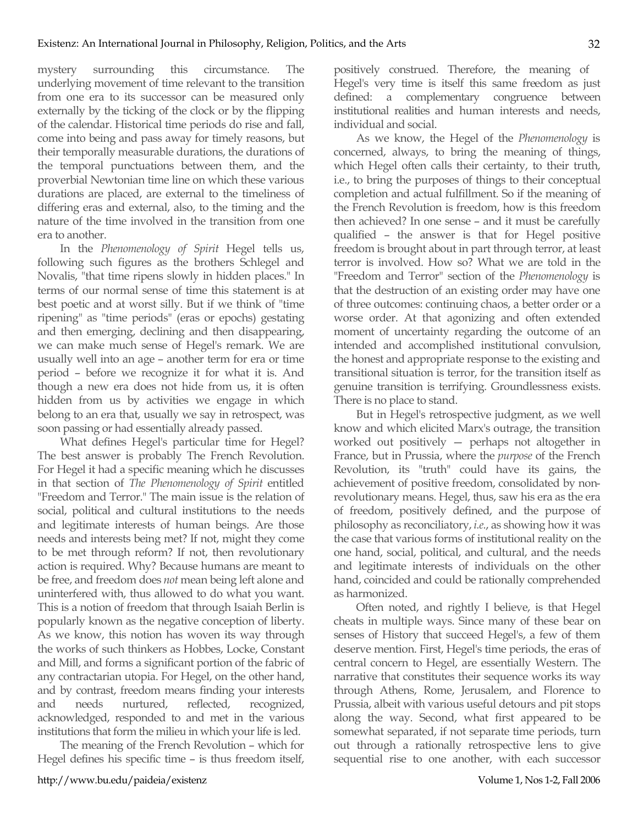mystery surrounding this circumstance. The underlying movement of time relevant to the transition from one era to its successor can be measured only externally by the ticking of the clock or by the flipping of the calendar. Historical time periods do rise and fall, come into being and pass away for timely reasons, but their temporally measurable durations, the durations of the temporal punctuations between them, and the proverbial Newtonian time line on which these various durations are placed, are external to the timeliness of differing eras and external, also, to the timing and the nature of the time involved in the transition from one era to another.

In the *Phenomenology of Spirit* Hegel tells us, following such figures as the brothers Schlegel and Novalis, "that time ripens slowly in hidden places." In terms of our normal sense of time this statement is at best poetic and at worst silly. But if we think of "time ripening" as "time periods" (eras or epochs) gestating and then emerging, declining and then disappearing, we can make much sense of Hegel's remark. We are usually well into an age – another term for era or time period – before we recognize it for what it is. And though a new era does not hide from us, it is often hidden from us by activities we engage in which belong to an era that, usually we say in retrospect, was soon passing or had essentially already passed.

What defines Hegel's particular time for Hegel? The best answer is probably The French Revolution. For Hegel it had a specific meaning which he discusses in that section of *The Phenomenology of Spirit* entitled "Freedom and Terror." The main issue is the relation of social, political and cultural institutions to the needs and legitimate interests of human beings. Are those needs and interests being met? If not, might they come to be met through reform? If not, then revolutionary action is required. Why? Because humans are meant to be free, and freedom does *not* mean being left alone and uninterfered with, thus allowed to do what you want. This is a notion of freedom that through Isaiah Berlin is popularly known as the negative conception of liberty. As we know, this notion has woven its way through the works of such thinkers as Hobbes, Locke, Constant and Mill, and forms a significant portion of the fabric of any contractarian utopia. For Hegel, on the other hand, and by contrast, freedom means finding your interests and needs nurtured, reflected, recognized, acknowledged, responded to and met in the various institutions that form the milieu in which your life is led.

The meaning of the French Revolution – which for Hegel defines his specific time – is thus freedom itself, positively construed. Therefore, the meaning of Hegel's very time is itself this same freedom as just defined: a complementary congruence between institutional realities and human interests and needs, individual and social.

As we know, the Hegel of the *Phenomenology* is concerned, always, to bring the meaning of things, which Hegel often calls their certainty, to their truth, i.e., to bring the purposes of things to their conceptual completion and actual fulfillment. So if the meaning of the French Revolution is freedom, how is this freedom then achieved? In one sense – and it must be carefully qualified – the answer is that for Hegel positive freedom is brought about in part through terror, at least terror is involved. How so? What we are told in the "Freedom and Terror" section of the *Phenomenology* is that the destruction of an existing order may have one of three outcomes: continuing chaos, a better order or a worse order. At that agonizing and often extended moment of uncertainty regarding the outcome of an intended and accomplished institutional convulsion, the honest and appropriate response to the existing and transitional situation is terror, for the transition itself as genuine transition is terrifying. Groundlessness exists. There is no place to stand.

But in Hegel's retrospective judgment, as we well know and which elicited Marx's outrage, the transition worked out positively — perhaps not altogether in France, but in Prussia, where the *purpose* of the French Revolution, its "truth" could have its gains, the achievement of positive freedom, consolidated by nonrevolutionary means. Hegel, thus, saw his era as the era of freedom, positively defined, and the purpose of philosophy as reconciliatory, *i.e.*, as showing how it was the case that various forms of institutional reality on the one hand, social, political, and cultural, and the needs and legitimate interests of individuals on the other hand, coincided and could be rationally comprehended as harmonized.

Often noted, and rightly I believe, is that Hegel cheats in multiple ways. Since many of these bear on senses of History that succeed Hegel's, a few of them deserve mention. First, Hegel's time periods, the eras of central concern to Hegel, are essentially Western. The narrative that constitutes their sequence works its way through Athens, Rome, Jerusalem, and Florence to Prussia, albeit with various useful detours and pit stops along the way. Second, what first appeared to be somewhat separated, if not separate time periods, turn out through a rationally retrospective lens to give sequential rise to one another, with each successor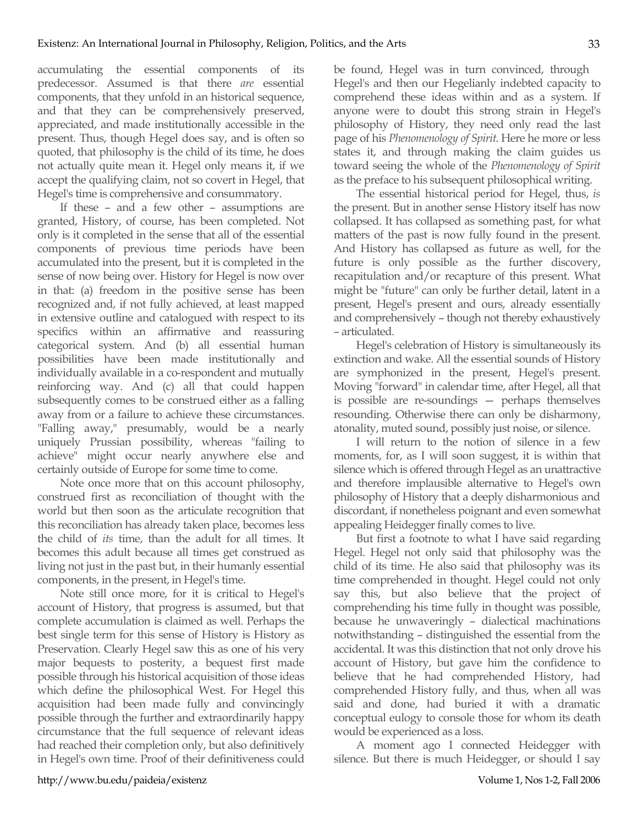accumulating the essential components of its predecessor. Assumed is that there *are* essential components, that they unfold in an historical sequence, and that they can be comprehensively preserved, appreciated, and made institutionally accessible in the present. Thus, though Hegel does say, and is often so quoted, that philosophy is the child of its time, he does not actually quite mean it. Hegel only means it, if we accept the qualifying claim, not so covert in Hegel, that Hegel's time is comprehensive and consummatory.

If these – and a few other – assumptions are granted, History, of course, has been completed. Not only is it completed in the sense that all of the essential components of previous time periods have been accumulated into the present, but it is completed in the sense of now being over. History for Hegel is now over in that: (a) freedom in the positive sense has been recognized and, if not fully achieved, at least mapped in extensive outline and catalogued with respect to its specifics within an affirmative and reassuring categorical system. And (b) all essential human possibilities have been made institutionally and individually available in a co-respondent and mutually reinforcing way. And (c) all that could happen subsequently comes to be construed either as a falling away from or a failure to achieve these circumstances. "Falling away," presumably, would be a nearly uniquely Prussian possibility, whereas "failing to achieve" might occur nearly anywhere else and certainly outside of Europe for some time to come.

Note once more that on this account philosophy, construed first as reconciliation of thought with the world but then soon as the articulate recognition that this reconciliation has already taken place, becomes less the child of *its* time, than the adult for all times. It becomes this adult because all times get construed as living not just in the past but, in their humanly essential components, in the present, in Hegel's time.

Note still once more, for it is critical to Hegel's account of History, that progress is assumed, but that complete accumulation is claimed as well. Perhaps the best single term for this sense of History is History as Preservation. Clearly Hegel saw this as one of his very major bequests to posterity, a bequest first made possible through his historical acquisition of those ideas which define the philosophical West. For Hegel this acquisition had been made fully and convincingly possible through the further and extraordinarily happy circumstance that the full sequence of relevant ideas had reached their completion only, but also definitively in Hegel's own time. Proof of their definitiveness could

be found, Hegel was in turn convinced, through Hegel's and then our Hegelianly indebted capacity to comprehend these ideas within and as a system. If anyone were to doubt this strong strain in Hegel's philosophy of History, they need only read the last page of his *Phenomenology of Spirit*. Here he more or less states it, and through making the claim guides us toward seeing the whole of the *Phenomenology of Spirit* as the preface to his subsequent philosophical writing.

The essential historical period for Hegel, thus, *is* the present. But in another sense History itself has now collapsed. It has collapsed as something past, for what matters of the past is now fully found in the present. And History has collapsed as future as well, for the future is only possible as the further discovery, recapitulation and/or recapture of this present. What might be "future" can only be further detail, latent in a present, Hegel's present and ours, already essentially and comprehensively – though not thereby exhaustively – articulated.

Hegel's celebration of History is simultaneously its extinction and wake. All the essential sounds of History are symphonized in the present, Hegel's present. Moving "forward" in calendar time, after Hegel, all that is possible are re-soundings — perhaps themselves resounding. Otherwise there can only be disharmony, atonality, muted sound, possibly just noise, or silence.

I will return to the notion of silence in a few moments, for, as I will soon suggest, it is within that silence which is offered through Hegel as an unattractive and therefore implausible alternative to Hegel's own philosophy of History that a deeply disharmonious and discordant, if nonetheless poignant and even somewhat appealing Heidegger finally comes to live.

But first a footnote to what I have said regarding Hegel. Hegel not only said that philosophy was the child of its time. He also said that philosophy was its time comprehended in thought. Hegel could not only say this, but also believe that the project of comprehending his time fully in thought was possible, because he unwaveringly – dialectical machinations notwithstanding – distinguished the essential from the accidental. It was this distinction that not only drove his account of History, but gave him the confidence to believe that he had comprehended History, had comprehended History fully, and thus, when all was said and done, had buried it with a dramatic conceptual eulogy to console those for whom its death would be experienced as a loss.

A moment ago I connected Heidegger with silence. But there is much Heidegger, or should I say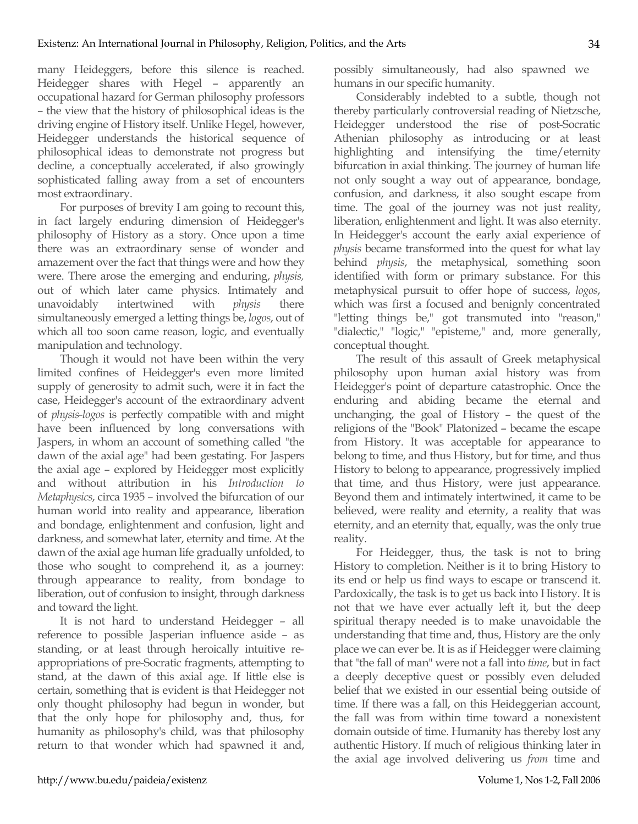many Heideggers, before this silence is reached. Heidegger shares with Hegel – apparently an occupational hazard for German philosophy professors – the view that the history of philosophical ideas is the driving engine of History itself. Unlike Hegel, however, Heidegger understands the historical sequence of philosophical ideas to demonstrate not progress but decline, a conceptually accelerated, if also growingly sophisticated falling away from a set of encounters most extraordinary.

For purposes of brevity I am going to recount this, in fact largely enduring dimension of Heidegger's philosophy of History as a story. Once upon a time there was an extraordinary sense of wonder and amazement over the fact that things were and how they were. There arose the emerging and enduring, *physis,* out of which later came physics. Intimately and unavoidably intertwined with *physis* there simultaneously emerged a letting things be, *logos*, out of which all too soon came reason, logic, and eventually manipulation and technology.

Though it would not have been within the very limited confines of Heidegger's even more limited supply of generosity to admit such, were it in fact the case, Heidegger's account of the extraordinary advent of *physis-logos* is perfectly compatible with and might have been influenced by long conversations with Jaspers, in whom an account of something called "the dawn of the axial age" had been gestating. For Jaspers the axial age – explored by Heidegger most explicitly and without attribution in his *Introduction to Metaphysics*, circa 1935 – involved the bifurcation of our human world into reality and appearance, liberation and bondage, enlightenment and confusion, light and darkness, and somewhat later, eternity and time. At the dawn of the axial age human life gradually unfolded, to those who sought to comprehend it, as a journey: through appearance to reality, from bondage to liberation, out of confusion to insight, through darkness and toward the light.

It is not hard to understand Heidegger – all reference to possible Jasperian influence aside – as standing, or at least through heroically intuitive reappropriations of pre-Socratic fragments, attempting to stand, at the dawn of this axial age. If little else is certain, something that is evident is that Heidegger not only thought philosophy had begun in wonder, but that the only hope for philosophy and, thus, for humanity as philosophy's child, was that philosophy return to that wonder which had spawned it and, possibly simultaneously, had also spawned we humans in our specific humanity.

Considerably indebted to a subtle, though not thereby particularly controversial reading of Nietzsche, Heidegger understood the rise of post-Socratic Athenian philosophy as introducing or at least highlighting and intensifying the time/eternity bifurcation in axial thinking. The journey of human life not only sought a way out of appearance, bondage, confusion, and darkness, it also sought escape from time. The goal of the journey was not just reality, liberation, enlightenment and light. It was also eternity. In Heidegger's account the early axial experience of *physis* became transformed into the quest for what lay behind *physis*, the metaphysical, something soon identified with form or primary substance. For this metaphysical pursuit to offer hope of success, *logos*, which was first a focused and benignly concentrated "letting things be," got transmuted into "reason," "dialectic," "logic," "episteme," and, more generally, conceptual thought.

The result of this assault of Greek metaphysical philosophy upon human axial history was from Heidegger's point of departure catastrophic. Once the enduring and abiding became the eternal and unchanging, the goal of History – the quest of the religions of the "Book" Platonized – became the escape from History. It was acceptable for appearance to belong to time, and thus History, but for time, and thus History to belong to appearance, progressively implied that time, and thus History, were just appearance. Beyond them and intimately intertwined, it came to be believed, were reality and eternity, a reality that was eternity, and an eternity that, equally, was the only true reality.

For Heidegger, thus, the task is not to bring History to completion. Neither is it to bring History to its end or help us find ways to escape or transcend it. Pardoxically, the task is to get us back into History. It is not that we have ever actually left it, but the deep spiritual therapy needed is to make unavoidable the understanding that time and, thus, History are the only place we can ever be. It is as if Heidegger were claiming that "the fall of man" were not a fall into *time*, but in fact a deeply deceptive quest or possibly even deluded belief that we existed in our essential being outside of time. If there was a fall, on this Heideggerian account, the fall was from within time toward a nonexistent domain outside of time. Humanity has thereby lost any authentic History. If much of religious thinking later in the axial age involved delivering us *from* time and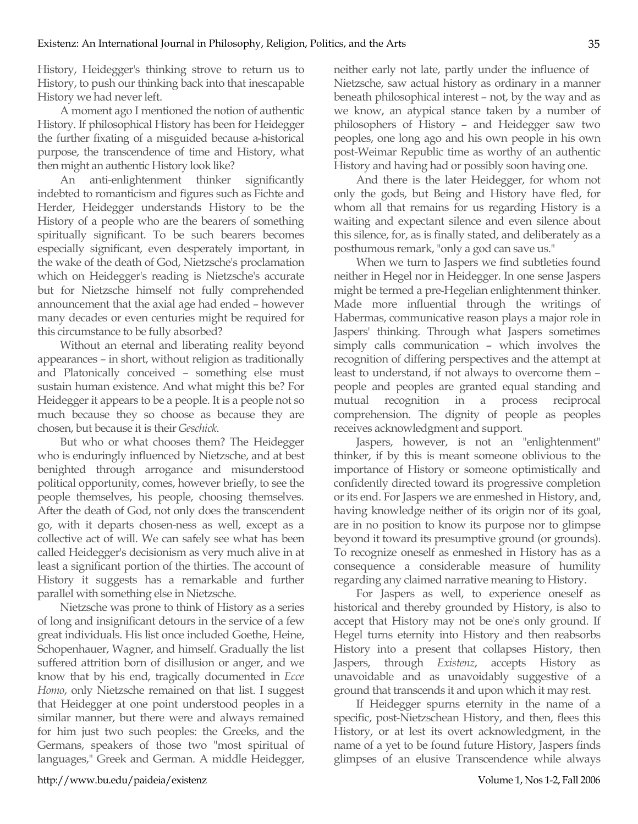History, Heidegger's thinking strove to return us to History, to push our thinking back into that inescapable History we had never left.

A moment ago I mentioned the notion of authentic History. If philosophical History has been for Heidegger the further fixating of a misguided because a-historical purpose, the transcendence of time and History, what then might an authentic History look like?

An anti-enlightenment thinker significantly indebted to romanticism and figures such as Fichte and Herder, Heidegger understands History to be the History of a people who are the bearers of something spiritually significant. To be such bearers becomes especially significant, even desperately important, in the wake of the death of God, Nietzsche's proclamation which on Heidegger's reading is Nietzsche's accurate but for Nietzsche himself not fully comprehended announcement that the axial age had ended – however many decades or even centuries might be required for this circumstance to be fully absorbed?

Without an eternal and liberating reality beyond appearances – in short, without religion as traditionally and Platonically conceived – something else must sustain human existence. And what might this be? For Heidegger it appears to be a people. It is a people not so much because they so choose as because they are chosen, but because it is their *Geschick*.

But who or what chooses them? The Heidegger who is enduringly influenced by Nietzsche, and at best benighted through arrogance and misunderstood political opportunity, comes, however briefly, to see the people themselves, his people, choosing themselves. After the death of God, not only does the transcendent go, with it departs chosen-ness as well, except as a collective act of will. We can safely see what has been called Heidegger's decisionism as very much alive in at least a significant portion of the thirties. The account of History it suggests has a remarkable and further parallel with something else in Nietzsche.

Nietzsche was prone to think of History as a series of long and insignificant detours in the service of a few great individuals. His list once included Goethe, Heine, Schopenhauer, Wagner, and himself. Gradually the list suffered attrition born of disillusion or anger, and we know that by his end, tragically documented in *Ecce Homo*, only Nietzsche remained on that list. I suggest that Heidegger at one point understood peoples in a similar manner, but there were and always remained for him just two such peoples: the Greeks, and the Germans, speakers of those two "most spiritual of languages," Greek and German. A middle Heidegger, neither early not late, partly under the influence of Nietzsche, saw actual history as ordinary in a manner beneath philosophical interest – not, by the way and as we know, an atypical stance taken by a number of philosophers of History – and Heidegger saw two peoples, one long ago and his own people in his own post-Weimar Republic time as worthy of an authentic History and having had or possibly soon having one.

And there is the later Heidegger, for whom not only the gods, but Being and History have fled, for whom all that remains for us regarding History is a waiting and expectant silence and even silence about this silence, for, as is finally stated, and deliberately as a posthumous remark, "only a god can save us."

When we turn to Jaspers we find subtleties found neither in Hegel nor in Heidegger. In one sense Jaspers might be termed a pre-Hegelian enlightenment thinker. Made more influential through the writings of Habermas, communicative reason plays a major role in Jaspers' thinking. Through what Jaspers sometimes simply calls communication – which involves the recognition of differing perspectives and the attempt at least to understand, if not always to overcome them – people and peoples are granted equal standing and mutual recognition in a process reciprocal comprehension. The dignity of people as peoples receives acknowledgment and support.

Jaspers, however, is not an "enlightenment" thinker, if by this is meant someone oblivious to the importance of History or someone optimistically and confidently directed toward its progressive completion or its end. For Jaspers we are enmeshed in History, and, having knowledge neither of its origin nor of its goal, are in no position to know its purpose nor to glimpse beyond it toward its presumptive ground (or grounds). To recognize oneself as enmeshed in History has as a consequence a considerable measure of humility regarding any claimed narrative meaning to History.

For Jaspers as well, to experience oneself as historical and thereby grounded by History, is also to accept that History may not be one's only ground. If Hegel turns eternity into History and then reabsorbs History into a present that collapses History, then Jaspers, through *Existenz*, accepts History as unavoidable and as unavoidably suggestive of a ground that transcends it and upon which it may rest.

If Heidegger spurns eternity in the name of a specific, post-Nietzschean History, and then, flees this History, or at lest its overt acknowledgment, in the name of a yet to be found future History, Jaspers finds glimpses of an elusive Transcendence while always